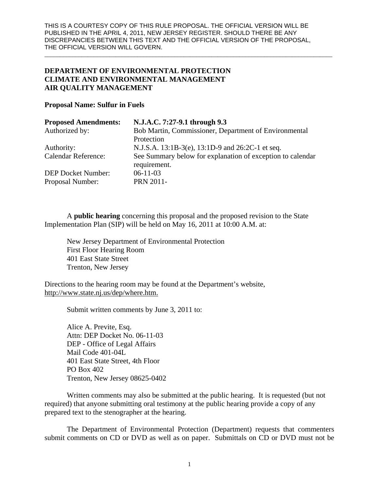\_\_\_\_\_\_\_\_\_\_\_\_\_\_\_\_\_\_\_\_\_\_\_\_\_\_\_\_\_\_\_\_\_\_\_\_\_\_\_\_\_\_\_\_\_\_\_\_\_\_\_\_\_\_\_\_\_\_\_\_\_\_\_\_\_\_\_\_\_\_\_\_\_\_\_\_\_\_\_\_\_\_\_\_\_\_\_\_\_\_\_\_\_

# **DEPARTMENT OF ENVIRONMENTAL PROTECTION CLIMATE AND ENVIRONMENTAL MANAGEMENT AIR QUALITY MANAGEMENT**

## **Proposal Name: Sulfur in Fuels**

| <b>Proposed Amendments:</b> | N.J.A.C. 7:27-9.1 through 9.3                                              |
|-----------------------------|----------------------------------------------------------------------------|
| Authorized by:              | Bob Martin, Commissioner, Department of Environmental                      |
|                             | Protection                                                                 |
| Authority:                  | N.J.S.A. 13:1B-3(e), 13:1D-9 and 26:2C-1 et seq.                           |
| <b>Calendar Reference:</b>  | See Summary below for explanation of exception to calendar<br>requirement. |
| <b>DEP Docket Number:</b>   | $06-11-03$                                                                 |
| Proposal Number:            | <b>PRN 2011-</b>                                                           |

A **public hearing** concerning this proposal and the proposed revision to the State Implementation Plan (SIP) will be held on May 16, 2011 at 10:00 A.M. at:

New Jersey Department of Environmental Protection First Floor Hearing Room 401 East State Street Trenton, New Jersey

Directions to the hearing room may be found at the Department's website, http://www.state.nj.us/dep/where.htm.

Submit written comments by June 3, 2011 to:

Alice A. Previte, Esq. Attn: DEP Docket No. 06-11-03 DEP - Office of Legal Affairs Mail Code 401-04L 401 East State Street, 4th Floor PO Box 402 Trenton, New Jersey 08625-0402

Written comments may also be submitted at the public hearing. It is requested (but not required) that anyone submitting oral testimony at the public hearing provide a copy of any prepared text to the stenographer at the hearing.

The Department of Environmental Protection (Department) requests that commenters submit comments on CD or DVD as well as on paper. Submittals on CD or DVD must not be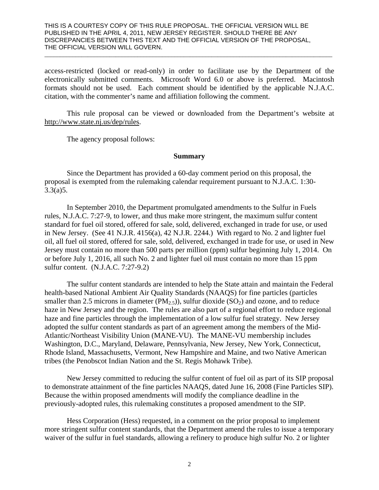access-restricted (locked or read-only) in order to facilitate use by the Department of the electronically submitted comments. Microsoft Word 6.0 or above is preferred. Macintosh formats should not be used. Each comment should be identified by the applicable N.J.A.C. citation, with the commenter's name and affiliation following the comment.

\_\_\_\_\_\_\_\_\_\_\_\_\_\_\_\_\_\_\_\_\_\_\_\_\_\_\_\_\_\_\_\_\_\_\_\_\_\_\_\_\_\_\_\_\_\_\_\_\_\_\_\_\_\_\_\_\_\_\_\_\_\_\_\_\_\_\_\_\_\_\_\_\_\_\_\_\_\_\_\_\_\_\_\_\_\_\_\_\_\_\_\_\_

This rule proposal can be viewed or downloaded from the Department's website at http://www.state.nj.us/dep/rules.

The agency proposal follows:

#### **Summary**

 Since the Department has provided a 60-day comment period on this proposal, the proposal is exempted from the rulemaking calendar requirement pursuant to N.J.A.C. 1:30-  $3.3(a)5.$ 

In September 2010, the Department promulgated amendments to the Sulfur in Fuels rules, N.J.A.C. 7:27-9, to lower, and thus make more stringent, the maximum sulfur content standard for fuel oil stored, offered for sale, sold, delivered, exchanged in trade for use, or used in New Jersey. (See 41 N.J.R. 4156(a), 42 N.J.R. 2244.) With regard to No. 2 and lighter fuel oil, all fuel oil stored, offered for sale, sold, delivered, exchanged in trade for use, or used in New Jersey must contain no more than 500 parts per million (ppm) sulfur beginning July 1, 2014. On or before July 1, 2016, all such No. 2 and lighter fuel oil must contain no more than 15 ppm sulfur content. (N.J.A.C. 7:27-9.2)

The sulfur content standards are intended to help the State attain and maintain the Federal health-based National Ambient Air Quality Standards (NAAQS) for fine particles (particles smaller than 2.5 microns in diameter  $(PM_{2.5})$ , sulfur dioxide  $(SO_2)$  and ozone, and to reduce haze in New Jersey and the region. The rules are also part of a regional effort to reduce regional haze and fine particles through the implementation of a low sulfur fuel strategy. New Jersey adopted the sulfur content standards as part of an agreement among the members of the Mid-Atlantic/Northeast Visibility Union (MANE-VU). The MANE-VU membership includes Washington, D.C., Maryland, Delaware, Pennsylvania, New Jersey, New York, Connecticut, Rhode Island, Massachusetts, Vermont, New Hampshire and Maine, and two Native American tribes (the Penobscot Indian Nation and the St. Regis Mohawk Tribe).

New Jersey committed to reducing the sulfur content of fuel oil as part of its SIP proposal to demonstrate attainment of the fine particles NAAQS, dated June 16, 2008 (Fine Particles SIP). Because the within proposed amendments will modify the compliance deadline in the previously-adopted rules, this rulemaking constitutes a proposed amendment to the SIP.

 Hess Corporation (Hess) requested, in a comment on the prior proposal to implement more stringent sulfur content standards, that the Department amend the rules to issue a temporary waiver of the sulfur in fuel standards, allowing a refinery to produce high sulfur No. 2 or lighter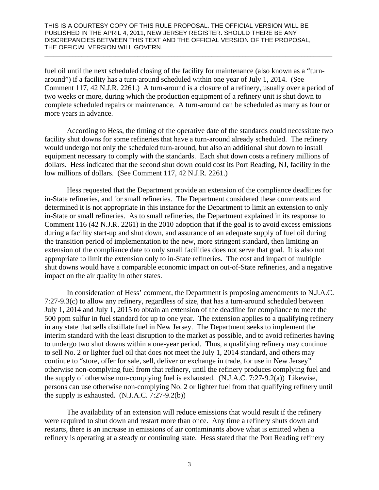fuel oil until the next scheduled closing of the facility for maintenance (also known as a "turnaround") if a facility has a turn-around scheduled within one year of July 1, 2014. (See Comment 117, 42 N.J.R. 2261.) A turn-around is a closure of a refinery, usually over a period of two weeks or more, during which the production equipment of a refinery unit is shut down to complete scheduled repairs or maintenance. A turn-around can be scheduled as many as four or more years in advance.

\_\_\_\_\_\_\_\_\_\_\_\_\_\_\_\_\_\_\_\_\_\_\_\_\_\_\_\_\_\_\_\_\_\_\_\_\_\_\_\_\_\_\_\_\_\_\_\_\_\_\_\_\_\_\_\_\_\_\_\_\_\_\_\_\_\_\_\_\_\_\_\_\_\_\_\_\_\_\_\_\_\_\_\_\_\_\_\_\_\_\_\_\_

According to Hess, the timing of the operative date of the standards could necessitate two facility shut downs for some refineries that have a turn-around already scheduled. The refinery would undergo not only the scheduled turn-around, but also an additional shut down to install equipment necessary to comply with the standards. Each shut down costs a refinery millions of dollars. Hess indicated that the second shut down could cost its Port Reading, NJ, facility in the low millions of dollars. (See Comment 117, 42 N.J.R. 2261.)

Hess requested that the Department provide an extension of the compliance deadlines for in-State refineries, and for small refineries. The Department considered these comments and determined it is not appropriate in this instance for the Department to limit an extension to only in-State or small refineries. As to small refineries, the Department explained in its response to Comment 116 (42 N.J.R. 2261) in the 2010 adoption that if the goal is to avoid excess emissions during a facility start-up and shut down, and assurance of an adequate supply of fuel oil during the transition period of implementation to the new, more stringent standard, then limiting an extension of the compliance date to only small facilities does not serve that goal. It is also not appropriate to limit the extension only to in-State refineries. The cost and impact of multiple shut downs would have a comparable economic impact on out-of-State refineries, and a negative impact on the air quality in other states.

In consideration of Hess' comment, the Department is proposing amendments to N.J.A.C. 7:27-9.3(c) to allow any refinery, regardless of size, that has a turn-around scheduled between July 1, 2014 and July 1, 2015 to obtain an extension of the deadline for compliance to meet the 500 ppm sulfur in fuel standard for up to one year. The extension applies to a qualifying refinery in any state that sells distillate fuel in New Jersey. The Department seeks to implement the interim standard with the least disruption to the market as possible, and to avoid refineries having to undergo two shut downs within a one-year period. Thus, a qualifying refinery may continue to sell No. 2 or lighter fuel oil that does not meet the July 1, 2014 standard, and others may continue to "store, offer for sale, sell, deliver or exchange in trade, for use in New Jersey" otherwise non-complying fuel from that refinery, until the refinery produces complying fuel and the supply of otherwise non-complying fuel is exhausted. (N.J.A.C. 7:27-9.2(a)) Likewise, persons can use otherwise non-complying No. 2 or lighter fuel from that qualifying refinery until the supply is exhausted.  $(N.J.A.C. 7:27-9.2(b))$ 

The availability of an extension will reduce emissions that would result if the refinery were required to shut down and restart more than once. Any time a refinery shuts down and restarts, there is an increase in emissions of air contaminants above what is emitted when a refinery is operating at a steady or continuing state. Hess stated that the Port Reading refinery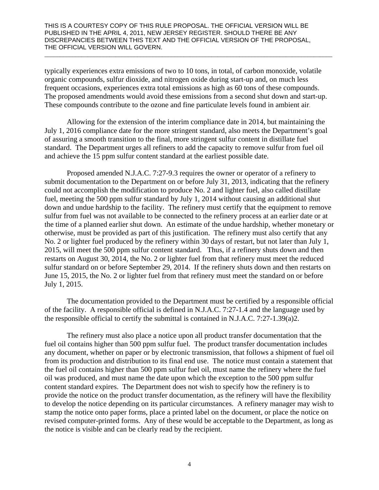typically experiences extra emissions of two to 10 tons, in total, of carbon monoxide, volatile organic compounds, sulfur dioxide, and nitrogen oxide during start-up and, on much less frequent occasions, experiences extra total emissions as high as 60 tons of these compounds. The proposed amendments would avoid these emissions from a second shut down and start-up. These compounds contribute to the ozone and fine particulate levels found in ambient air.

\_\_\_\_\_\_\_\_\_\_\_\_\_\_\_\_\_\_\_\_\_\_\_\_\_\_\_\_\_\_\_\_\_\_\_\_\_\_\_\_\_\_\_\_\_\_\_\_\_\_\_\_\_\_\_\_\_\_\_\_\_\_\_\_\_\_\_\_\_\_\_\_\_\_\_\_\_\_\_\_\_\_\_\_\_\_\_\_\_\_\_\_\_

Allowing for the extension of the interim compliance date in 2014, but maintaining the July 1, 2016 compliance date for the more stringent standard, also meets the Department's goal of assuring a smooth transition to the final, more stringent sulfur content in distillate fuel standard. The Department urges all refiners to add the capacity to remove sulfur from fuel oil and achieve the 15 ppm sulfur content standard at the earliest possible date.

Proposed amended N.J.A.C. 7:27-9.3 requires the owner or operator of a refinery to submit documentation to the Department on or before July 31, 2013, indicating that the refinery could not accomplish the modification to produce No. 2 and lighter fuel, also called distillate fuel, meeting the 500 ppm sulfur standard by July 1, 2014 without causing an additional shut down and undue hardship to the facility. The refinery must certify that the equipment to remove sulfur from fuel was not available to be connected to the refinery process at an earlier date or at the time of a planned earlier shut down. An estimate of the undue hardship, whether monetary or otherwise, must be provided as part of this justification. The refinery must also certify that any No. 2 or lighter fuel produced by the refinery within 30 days of restart, but not later than July 1, 2015, will meet the 500 ppm sulfur content standard. Thus, if a refinery shuts down and then restarts on August 30, 2014, the No. 2 or lighter fuel from that refinery must meet the reduced sulfur standard on or before September 29, 2014. If the refinery shuts down and then restarts on June 15, 2015, the No. 2 or lighter fuel from that refinery must meet the standard on or before July 1, 2015.

The documentation provided to the Department must be certified by a responsible official of the facility. A responsible official is defined in N.J.A.C. 7:27-1.4 and the language used by the responsible official to certify the submittal is contained in N.J.A.C. 7:27-1.39(a)2.

The refinery must also place a notice upon all product transfer documentation that the fuel oil contains higher than 500 ppm sulfur fuel. The product transfer documentation includes any document, whether on paper or by electronic transmission, that follows a shipment of fuel oil from its production and distribution to its final end use. The notice must contain a statement that the fuel oil contains higher than 500 ppm sulfur fuel oil, must name the refinery where the fuel oil was produced, and must name the date upon which the exception to the 500 ppm sulfur content standard expires. The Department does not wish to specify how the refinery is to provide the notice on the product transfer documentation, as the refinery will have the flexibility to develop the notice depending on its particular circumstances. A refinery manager may wish to stamp the notice onto paper forms, place a printed label on the document, or place the notice on revised computer-printed forms. Any of these would be acceptable to the Department, as long as the notice is visible and can be clearly read by the recipient.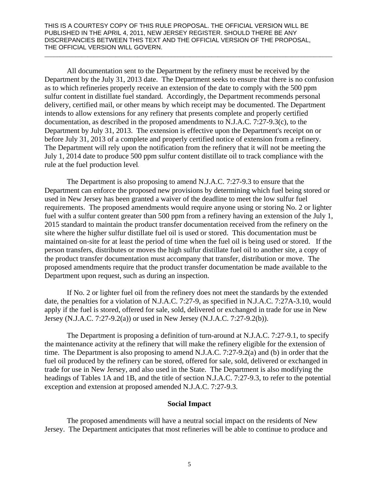All documentation sent to the Department by the refinery must be received by the Department by the July 31, 2013 date. The Department seeks to ensure that there is no confusion as to which refineries properly receive an extension of the date to comply with the 500 ppm sulfur content in distillate fuel standard. Accordingly, the Department recommends personal delivery, certified mail, or other means by which receipt may be documented. The Department intends to allow extensions for any refinery that presents complete and properly certified documentation, as described in the proposed amendments to N.J.A.C. 7:27-9.3(c), to the Department by July 31, 2013. The extension is effective upon the Department's receipt on or before July 31, 2013 of a complete and properly certified notice of extension from a refinery. The Department will rely upon the notification from the refinery that it will not be meeting the July 1, 2014 date to produce 500 ppm sulfur content distillate oil to track compliance with the rule at the fuel production level.

\_\_\_\_\_\_\_\_\_\_\_\_\_\_\_\_\_\_\_\_\_\_\_\_\_\_\_\_\_\_\_\_\_\_\_\_\_\_\_\_\_\_\_\_\_\_\_\_\_\_\_\_\_\_\_\_\_\_\_\_\_\_\_\_\_\_\_\_\_\_\_\_\_\_\_\_\_\_\_\_\_\_\_\_\_\_\_\_\_\_\_\_\_

The Department is also proposing to amend N.J.A.C. 7:27-9.3 to ensure that the Department can enforce the proposed new provisions by determining which fuel being stored or used in New Jersey has been granted a waiver of the deadline to meet the low sulfur fuel requirements. The proposed amendments would require anyone using or storing No. 2 or lighter fuel with a sulfur content greater than 500 ppm from a refinery having an extension of the July 1, 2015 standard to maintain the product transfer documentation received from the refinery on the site where the higher sulfur distillate fuel oil is used or stored. This documentation must be maintained on-site for at least the period of time when the fuel oil is being used or stored. If the person transfers, distributes or moves the high sulfur distillate fuel oil to another site, a copy of the product transfer documentation must accompany that transfer, distribution or move. The proposed amendments require that the product transfer documentation be made available to the Department upon request, such as during an inspection.

If No. 2 or lighter fuel oil from the refinery does not meet the standards by the extended date, the penalties for a violation of N.J.A.C. 7:27-9, as specified in N.J.A.C. 7:27A-3.10, would apply if the fuel is stored, offered for sale, sold, delivered or exchanged in trade for use in New Jersey (N.J.A.C. 7:27-9.2(a)) or used in New Jersey (N.J.A.C. 7:27-9.2(b)).

The Department is proposing a definition of turn-around at N.J.A.C. 7:27-9.1, to specify the maintenance activity at the refinery that will make the refinery eligible for the extension of time. The Department is also proposing to amend N.J.A.C. 7:27-9.2(a) and (b) in order that the fuel oil produced by the refinery can be stored, offered for sale, sold, delivered or exchanged in trade for use in New Jersey, and also used in the State. The Department is also modifying the headings of Tables 1A and 1B, and the title of section N.J.A.C. 7:27-9.3, to refer to the potential exception and extension at proposed amended N.J.A.C. 7:27-9.3.

# **Social Impact**

The proposed amendments will have a neutral social impact on the residents of New Jersey. The Department anticipates that most refineries will be able to continue to produce and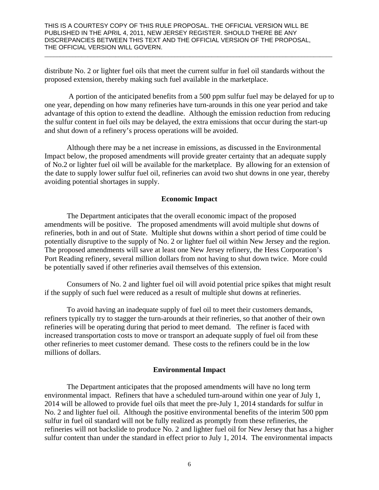distribute No. 2 or lighter fuel oils that meet the current sulfur in fuel oil standards without the proposed extension, thereby making such fuel available in the marketplace.

\_\_\_\_\_\_\_\_\_\_\_\_\_\_\_\_\_\_\_\_\_\_\_\_\_\_\_\_\_\_\_\_\_\_\_\_\_\_\_\_\_\_\_\_\_\_\_\_\_\_\_\_\_\_\_\_\_\_\_\_\_\_\_\_\_\_\_\_\_\_\_\_\_\_\_\_\_\_\_\_\_\_\_\_\_\_\_\_\_\_\_\_\_

 A portion of the anticipated benefits from a 500 ppm sulfur fuel may be delayed for up to one year, depending on how many refineries have turn-arounds in this one year period and take advantage of this option to extend the deadline. Although the emission reduction from reducing the sulfur content in fuel oils may be delayed, the extra emissions that occur during the start-up and shut down of a refinery's process operations will be avoided.

Although there may be a net increase in emissions, as discussed in the Environmental Impact below, the proposed amendments will provide greater certainty that an adequate supply of No.2 or lighter fuel oil will be available for the marketplace. By allowing for an extension of the date to supply lower sulfur fuel oil, refineries can avoid two shut downs in one year, thereby avoiding potential shortages in supply.

## **Economic Impact**

The Department anticipates that the overall economic impact of the proposed amendments will be positive. The proposed amendments will avoid multiple shut downs of refineries, both in and out of State. Multiple shut downs within a short period of time could be potentially disruptive to the supply of No. 2 or lighter fuel oil within New Jersey and the region. The proposed amendments will save at least one New Jersey refinery, the Hess Corporation's Port Reading refinery, several million dollars from not having to shut down twice. More could be potentially saved if other refineries avail themselves of this extension.

Consumers of No. 2 and lighter fuel oil will avoid potential price spikes that might result if the supply of such fuel were reduced as a result of multiple shut downs at refineries.

To avoid having an inadequate supply of fuel oil to meet their customers demands, refiners typically try to stagger the turn-arounds at their refineries, so that another of their own refineries will be operating during that period to meet demand. The refiner is faced with increased transportation costs to move or transport an adequate supply of fuel oil from these other refineries to meet customer demand. These costs to the refiners could be in the low millions of dollars.

## **Environmental Impact**

The Department anticipates that the proposed amendments will have no long term environmental impact. Refiners that have a scheduled turn-around within one year of July 1, 2014 will be allowed to provide fuel oils that meet the pre-July 1, 2014 standards for sulfur in No. 2 and lighter fuel oil. Although the positive environmental benefits of the interim 500 ppm sulfur in fuel oil standard will not be fully realized as promptly from these refineries, the refineries will not backslide to produce No. 2 and lighter fuel oil for New Jersey that has a higher sulfur content than under the standard in effect prior to July 1, 2014. The environmental impacts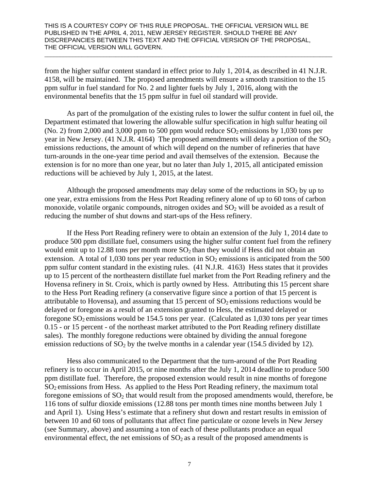from the higher sulfur content standard in effect prior to July 1, 2014, as described in 41 N.J.R. 4158, will be maintained. The proposed amendments will ensure a smooth transition to the 15 ppm sulfur in fuel standard for No. 2 and lighter fuels by July 1, 2016, along with the environmental benefits that the 15 ppm sulfur in fuel oil standard will provide.

\_\_\_\_\_\_\_\_\_\_\_\_\_\_\_\_\_\_\_\_\_\_\_\_\_\_\_\_\_\_\_\_\_\_\_\_\_\_\_\_\_\_\_\_\_\_\_\_\_\_\_\_\_\_\_\_\_\_\_\_\_\_\_\_\_\_\_\_\_\_\_\_\_\_\_\_\_\_\_\_\_\_\_\_\_\_\_\_\_\_\_\_\_

As part of the promulgation of the existing rules to lower the sulfur content in fuel oil, the Department estimated that lowering the allowable sulfur specification in high sulfur heating oil (No. 2) from 2,000 and 3,000 ppm to 500 ppm would reduce  $SO_2$  emissions by 1,030 tons per year in New Jersey. (41 N.J.R. 4164) The proposed amendments will delay a portion of the  $SO_2$ emissions reductions, the amount of which will depend on the number of refineries that have turn-arounds in the one-year time period and avail themselves of the extension. Because the extension is for no more than one year, but no later than July 1, 2015, all anticipated emission reductions will be achieved by July 1, 2015, at the latest.

Although the proposed amendments may delay some of the reductions in  $SO_2$  by up to one year, extra emissions from the Hess Port Reading refinery alone of up to 60 tons of carbon monoxide, volatile organic compounds, nitrogen oxides and  $SO<sub>2</sub>$  will be avoided as a result of reducing the number of shut downs and start-ups of the Hess refinery.

If the Hess Port Reading refinery were to obtain an extension of the July 1, 2014 date to produce 500 ppm distillate fuel, consumers using the higher sulfur content fuel from the refinery would emit up to 12.88 tons per month more  $SO_2$  than they would if Hess did not obtain an extension. A total of 1,030 tons per year reduction in  $SO_2$  emissions is anticipated from the 500 ppm sulfur content standard in the existing rules. (41 N.J.R. 4163) Hess states that it provides up to 15 percent of the northeastern distillate fuel market from the Port Reading refinery and the Hovensa refinery in St. Croix, which is partly owned by Hess. Attributing this 15 percent share to the Hess Port Reading refinery (a conservative figure since a portion of that 15 percent is attributable to Hovensa), and assuming that 15 percent of  $SO_2$  emissions reductions would be delayed or foregone as a result of an extension granted to Hess, the estimated delayed or foregone  $SO_2$  emissions would be 154.5 tons per year. (Calculated as 1,030 tons per year times 0.15 - or 15 percent - of the northeast market attributed to the Port Reading refinery distillate sales). The monthly foregone reductions were obtained by dividing the annual foregone emission reductions of  $SO_2$  by the twelve months in a calendar year (154.5 divided by 12).

Hess also communicated to the Department that the turn-around of the Port Reading refinery is to occur in April 2015, or nine months after the July 1, 2014 deadline to produce 500 ppm distillate fuel. Therefore, the proposed extension would result in nine months of foregone SO<sub>2</sub> emissions from Hess. As applied to the Hess Port Reading refinery, the maximum total foregone emissions of  $SO_2$  that would result from the proposed amendments would, therefore, be 116 tons of sulfur dioxide emissions (12.88 tons per month times nine months between July 1 and April 1). Using Hess's estimate that a refinery shut down and restart results in emission of between 10 and 60 tons of pollutants that affect fine particulate or ozone levels in New Jersey (see Summary, above) and assuming a ton of each of these pollutants produce an equal environmental effect, the net emissions of  $SO<sub>2</sub>$  as a result of the proposed amendments is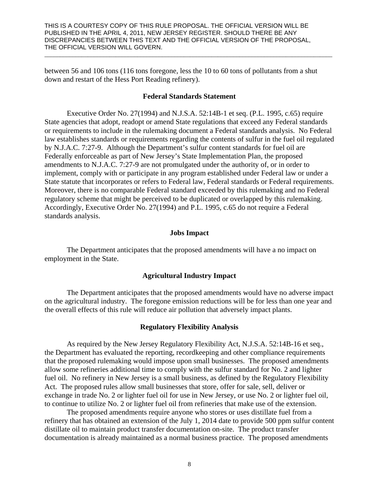between 56 and 106 tons (116 tons foregone, less the 10 to 60 tons of pollutants from a shut down and restart of the Hess Port Reading refinery).

#### **Federal Standards Statement**

\_\_\_\_\_\_\_\_\_\_\_\_\_\_\_\_\_\_\_\_\_\_\_\_\_\_\_\_\_\_\_\_\_\_\_\_\_\_\_\_\_\_\_\_\_\_\_\_\_\_\_\_\_\_\_\_\_\_\_\_\_\_\_\_\_\_\_\_\_\_\_\_\_\_\_\_\_\_\_\_\_\_\_\_\_\_\_\_\_\_\_\_\_

Executive Order No. 27(1994) and N.J.S.A. 52:14B-1 et seq. (P.L. 1995, c.65) require State agencies that adopt, readopt or amend State regulations that exceed any Federal standards or requirements to include in the rulemaking document a Federal standards analysis. No Federal law establishes standards or requirements regarding the contents of sulfur in the fuel oil regulated by N.J.A.C. 7:27-9. Although the Department's sulfur content standards for fuel oil are Federally enforceable as part of New Jersey's State Implementation Plan, the proposed amendments to N.J.A.C. 7:27-9 are not promulgated under the authority of, or in order to implement, comply with or participate in any program established under Federal law or under a State statute that incorporates or refers to Federal law, Federal standards or Federal requirements. Moreover, there is no comparable Federal standard exceeded by this rulemaking and no Federal regulatory scheme that might be perceived to be duplicated or overlapped by this rulemaking. Accordingly, Executive Order No. 27(1994) and P.L. 1995, c.65 do not require a Federal standards analysis.

#### **Jobs Impact**

The Department anticipates that the proposed amendments will have a no impact on employment in the State.

## **Agricultural Industry Impact**

The Department anticipates that the proposed amendments would have no adverse impact on the agricultural industry. The foregone emission reductions will be for less than one year and the overall effects of this rule will reduce air pollution that adversely impact plants.

## **Regulatory Flexibility Analysis**

As required by the New Jersey Regulatory Flexibility Act, N.J.S.A. 52:14B-16 et seq., the Department has evaluated the reporting, recordkeeping and other compliance requirements that the proposed rulemaking would impose upon small businesses. The proposed amendments allow some refineries additional time to comply with the sulfur standard for No. 2 and lighter fuel oil. No refinery in New Jersey is a small business, as defined by the Regulatory Flexibility Act. The proposed rules allow small businesses that store, offer for sale, sell, deliver or exchange in trade No. 2 or lighter fuel oil for use in New Jersey, or use No. 2 or lighter fuel oil, to continue to utilize No. 2 or lighter fuel oil from refineries that make use of the extension.

The proposed amendments require anyone who stores or uses distillate fuel from a refinery that has obtained an extension of the July 1, 2014 date to provide 500 ppm sulfur content distillate oil to maintain product transfer documentation on-site. The product transfer documentation is already maintained as a normal business practice. The proposed amendments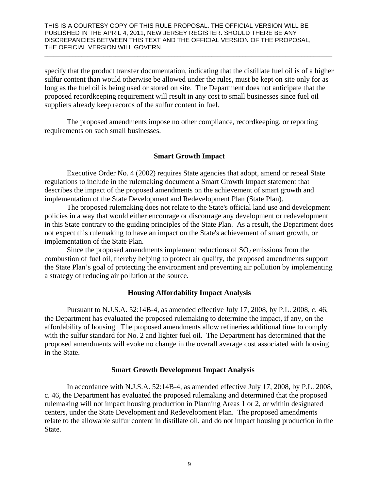specify that the product transfer documentation, indicating that the distillate fuel oil is of a higher sulfur content than would otherwise be allowed under the rules, must be kept on site only for as long as the fuel oil is being used or stored on site. The Department does not anticipate that the proposed recordkeeping requirement will result in any cost to small businesses since fuel oil suppliers already keep records of the sulfur content in fuel.

\_\_\_\_\_\_\_\_\_\_\_\_\_\_\_\_\_\_\_\_\_\_\_\_\_\_\_\_\_\_\_\_\_\_\_\_\_\_\_\_\_\_\_\_\_\_\_\_\_\_\_\_\_\_\_\_\_\_\_\_\_\_\_\_\_\_\_\_\_\_\_\_\_\_\_\_\_\_\_\_\_\_\_\_\_\_\_\_\_\_\_\_\_

The proposed amendments impose no other compliance, recordkeeping, or reporting requirements on such small businesses.

## **Smart Growth Impact**

Executive Order No. 4 (2002) requires State agencies that adopt, amend or repeal State regulations to include in the rulemaking document a Smart Growth Impact statement that describes the impact of the proposed amendments on the achievement of smart growth and implementation of the State Development and Redevelopment Plan (State Plan).

The proposed rulemaking does not relate to the State's official land use and development policies in a way that would either encourage or discourage any development or redevelopment in this State contrary to the guiding principles of the State Plan. As a result, the Department does not expect this rulemaking to have an impact on the State's achievement of smart growth, or implementation of the State Plan.

Since the proposed amendments implement reductions of  $SO<sub>2</sub>$  emissions from the combustion of fuel oil, thereby helping to protect air quality, the proposed amendments support the State Plan's goal of protecting the environment and preventing air pollution by implementing a strategy of reducing air pollution at the source.

## **Housing Affordability Impact Analysis**

Pursuant to N.J.S.A. 52:14B-4, as amended effective July 17, 2008, by P.L. 2008, c. 46, the Department has evaluated the proposed rulemaking to determine the impact, if any, on the affordability of housing. The proposed amendments allow refineries additional time to comply with the sulfur standard for No. 2 and lighter fuel oil. The Department has determined that the proposed amendments will evoke no change in the overall average cost associated with housing in the State.

#### **Smart Growth Development Impact Analysis**

In accordance with N.J.S.A. 52:14B-4, as amended effective July 17, 2008, by P.L. 2008, c. 46, the Department has evaluated the proposed rulemaking and determined that the proposed rulemaking will not impact housing production in Planning Areas 1 or 2, or within designated centers, under the State Development and Redevelopment Plan. The proposed amendments relate to the allowable sulfur content in distillate oil, and do not impact housing production in the State.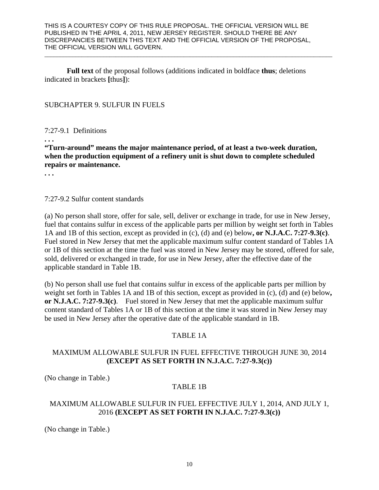\_\_\_\_\_\_\_\_\_\_\_\_\_\_\_\_\_\_\_\_\_\_\_\_\_\_\_\_\_\_\_\_\_\_\_\_\_\_\_\_\_\_\_\_\_\_\_\_\_\_\_\_\_\_\_\_\_\_\_\_\_\_\_\_\_\_\_\_\_\_\_\_\_\_\_\_\_\_\_\_\_\_\_\_\_\_\_\_\_\_\_\_\_

**Full text** of the proposal follows (additions indicated in boldface **thus**; deletions indicated in brackets **[**thus**]**):

## SUBCHAPTER 9. SULFUR IN FUELS

## 7:27-9.1 Definitions

**. . .** 

**"Turn-around" means the major maintenance period, of at least a two-week duration, when the production equipment of a refinery unit is shut down to complete scheduled repairs or maintenance.** 

**. . .**

7:27-9.2 Sulfur content standards

(a) No person shall store, offer for sale, sell, deliver or exchange in trade, for use in New Jersey, fuel that contains sulfur in excess of the applicable parts per million by weight set forth in Tables 1A and 1B of this section, except as provided in (c), (d) and (e) below**, or N.J.A.C. 7:27-9.3(c)**. Fuel stored in New Jersey that met the applicable maximum sulfur content standard of Tables 1A or 1B of this section at the time the fuel was stored in New Jersey may be stored, offered for sale, sold, delivered or exchanged in trade, for use in New Jersey, after the effective date of the applicable standard in Table 1B.

(b) No person shall use fuel that contains sulfur in excess of the applicable parts per million by weight set forth in Tables 1A and 1B of this section, except as provided in (c), (d) and (e) below**, or N.J.A.C. 7:27-9.3(c)**. Fuel stored in New Jersey that met the applicable maximum sulfur content standard of Tables 1A or 1B of this section at the time it was stored in New Jersey may be used in New Jersey after the operative date of the applicable standard in 1B.

# TABLE 1A

# MAXIMUM ALLOWABLE SULFUR IN FUEL EFFECTIVE THROUGH JUNE 30, 2014 **(EXCEPT AS SET FORTH IN N.J.A.C. 7:27-9.3(c))**

(No change in Table.)

# TABLE 1B

# MAXIMUM ALLOWABLE SULFUR IN FUEL EFFECTIVE JULY 1, 2014, AND JULY 1, 2016 **(EXCEPT AS SET FORTH IN N.J.A.C. 7:27-9.3(c))**

(No change in Table.)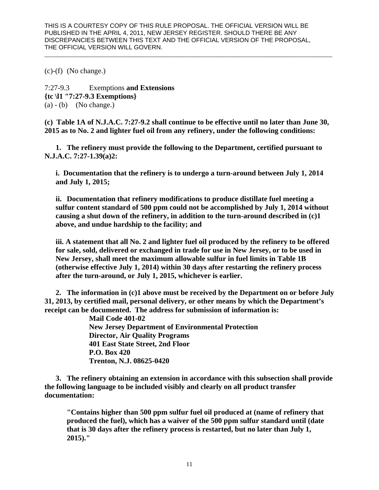\_\_\_\_\_\_\_\_\_\_\_\_\_\_\_\_\_\_\_\_\_\_\_\_\_\_\_\_\_\_\_\_\_\_\_\_\_\_\_\_\_\_\_\_\_\_\_\_\_\_\_\_\_\_\_\_\_\_\_\_\_\_\_\_\_\_\_\_\_\_\_\_\_\_\_\_\_\_\_\_\_\_\_\_\_\_\_\_\_\_\_\_\_

(c)-(f) (No change.)

7:27-9.3 Exemptions **and Extensions {tc \l1 "7:27-9.3 Exemptions}**   $(a) - (b)$  (No change.)

**(c) Table 1A of N.J.A.C. 7:27-9.2 shall continue to be effective until no later than June 30, 2015 as to No. 2 and lighter fuel oil from any refinery, under the following conditions:** 

**1. The refinery must provide the following to the Department, certified pursuant to N.J.A.C. 7:27-1.39(a)2:** 

**i. Documentation that the refinery is to undergo a turn-around between July 1, 2014 and July 1, 2015;** 

**ii. Documentation that refinery modifications to produce distillate fuel meeting a sulfur content standard of 500 ppm could not be accomplished by July 1, 2014 without causing a shut down of the refinery, in addition to the turn-around described in (c)1 above, and undue hardship to the facility; and** 

**iii. A statement that all No. 2 and lighter fuel oil produced by the refinery to be offered for sale, sold, delivered or exchanged in trade for use in New Jersey, or to be used in New Jersey, shall meet the maximum allowable sulfur in fuel limits in Table 1B (otherwise effective July 1, 2014) within 30 days after restarting the refinery process after the turn-around, or July 1, 2015, whichever is earlier.** 

**2. The information in (c)1 above must be received by the Department on or before July 31, 2013, by certified mail, personal delivery, or other means by which the Department's receipt can be documented. The address for submission of information is:** 

> **Mail Code 401-02 New Jersey Department of Environmental Protection Director, Air Quality Programs 401 East State Street, 2nd Floor P.O. Box 420 Trenton, N.J. 08625-0420**

**3. The refinery obtaining an extension in accordance with this subsection shall provide the following language to be included visibly and clearly on all product transfer documentation:** 

**"Contains higher than 500 ppm sulfur fuel oil produced at (name of refinery that produced the fuel), which has a waiver of the 500 ppm sulfur standard until (date that is 30 days after the refinery process is restarted, but no later than July 1, 2015)."**